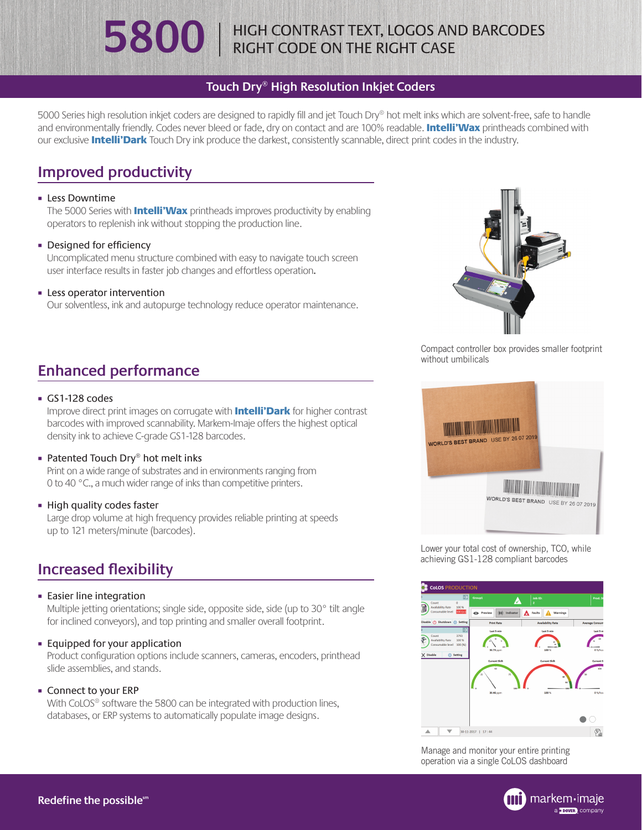# **5800** | HIGH CONTRAST TEXT, LOGOS AND BARCODES

### **Touch Dry® High Resolution Inkjet Coders**

5000 Series high resolution inkjet coders are designed to rapidly fill and jet Touch Dry® hot melt inks which are solvent-free, safe to handle and environmentally friendly. Codes never bleed or fade, dry on contact and are 100% readable. Intelli'Wax printheads combined with our exclusive **Intelli'Dark** Touch Dry ink produce the darkest, consistently scannable, direct print codes in the industry.

## **Improved productivity**

#### **Example 1** Less Downtime

The 5000 Series with **Intelli'Wax** printheads improves productivity by enabling operators to replenish ink without stopping the production line.

#### • Designed for efficiency

Uncomplicated menu structure combined with easy to navigate touch screen user interface results in faster job changes and effortless operation.

#### **Exercise intervention**

Our solventless, ink and autopurge technology reduce operator maintenance.

## **Enhanced performance**

#### GS1-128 codes

Improve direct print images on corrugate with **Intelli'Dark** for higher contrast barcodes with improved scannability. Markem-Imaje offers the highest optical density ink to achieve C-grade GS1-128 barcodes.

#### ■ Patented Touch Dry® hot melt inks

Print on a wide range of substrates and in environments ranging from 0 to 40 °C., a much wider range of inks than competitive printers.

#### **Example 1 High quality codes faster**

Large drop volume at high frequency provides reliable printing at speeds up to 121 meters/minute (barcodes).

## **Increased flexibility**

#### **Easier line integration**

Multiple jetting orientations; single side, opposite side, side (up to 30° tilt angle for inclined conveyors), and top printing and smaller overall footprint.

¡ Equipped for your application

Product configuration options include scanners, cameras, encoders, printhead slide assemblies, and stands.

¡ Connect to your ERP With CoLOS<sup>®</sup> software the 5800 can be integrated with production lines, databases, or ERP systems to automatically populate image designs.



Compact controller box provides smaller footprint without umbilicals



Lower your total cost of ownership, TCO, while achieving GS1-128 compliant barcodes



Manage and monitor your entire printing operation via a single CoLOS dashboard